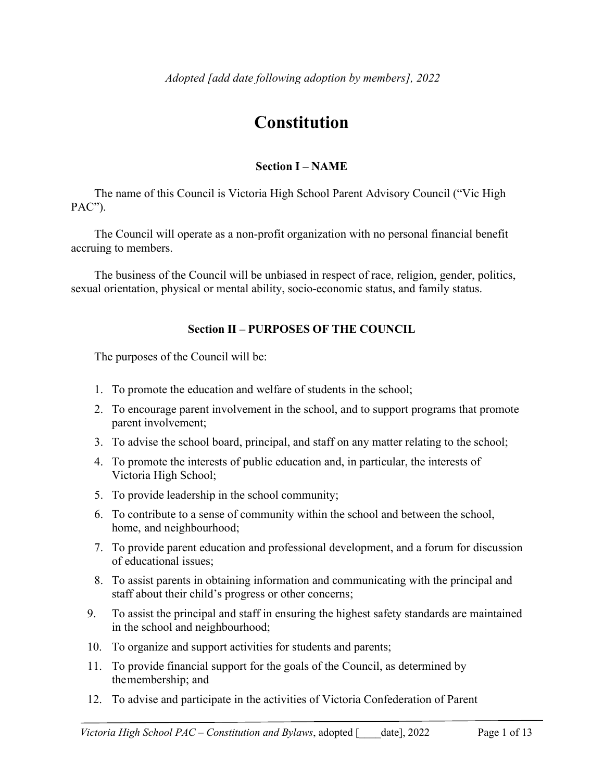# **Constitution**

## **Section I – NAME**

The name of this Council is Victoria High School Parent Advisory Council ("Vic High PAC").

The Council will operate as a non-profit organization with no personal financial benefit accruing to members.

The business of the Council will be unbiased in respect of race, religion, gender, politics, sexual orientation, physical or mental ability, socio-economic status, and family status.

## **Section II – PURPOSES OF THE COUNCIL**

The purposes of the Council will be:

- 1. To promote the education and welfare of students in the school;
- 2. To encourage parent involvement in the school, and to support programs that promote parent involvement;
- 3. To advise the school board, principal, and staff on any matter relating to the school;
- 4. To promote the interests of public education and, in particular, the interests of Victoria High School;
- 5. To provide leadership in the school community;
- 6. To contribute to a sense of community within the school and between the school, home, and neighbourhood;
- 7. To provide parent education and professional development, and a forum for discussion of educational issues;
- 8. To assist parents in obtaining information and communicating with the principal and staff about their child's progress or other concerns;
- 9. To assist the principal and staff in ensuring the highest safety standards are maintained in the school and neighbourhood;
- 10. To organize and support activities for students and parents;
- 11. To provide financial support for the goals of the Council, as determined by the membership; and
- 12. To advise and participate in the activities of Victoria Confederation of Parent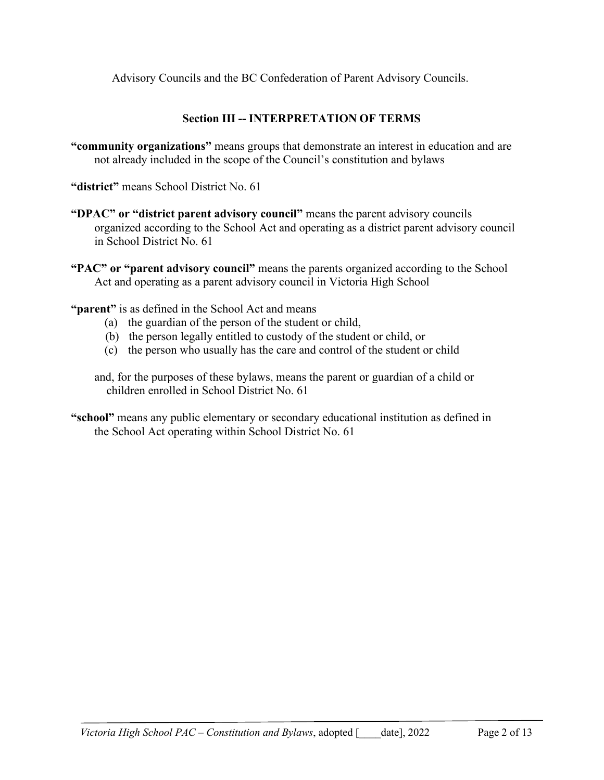Advisory Councils and the BC Confederation of Parent Advisory Councils.

# **Section III -- INTERPRETATION OF TERMS**

**"community organizations"** means groups that demonstrate an interest in education and are not already included in the scope of the Council's constitution and bylaws

**"district"** means School District No. 61

**"DPAC" or "district parent advisory council"** means the parent advisory councils organized according to the School Act and operating as a district parent advisory council in School District No. 61

**"PAC" or "parent advisory council"** means the parents organized according to the School Act and operating as a parent advisory council in Victoria High School

**"parent"** is as defined in the School Act and means

- (a) the guardian of the person of the student or child,
- (b) the person legally entitled to custody of the student or child, or
- (c) the person who usually has the care and control of the student or child

and, for the purposes of these bylaws, means the parent or guardian of a child or children enrolled in School District No. 61

**"school"** means any public elementary or secondary educational institution as defined in the School Act operating within School District No. 61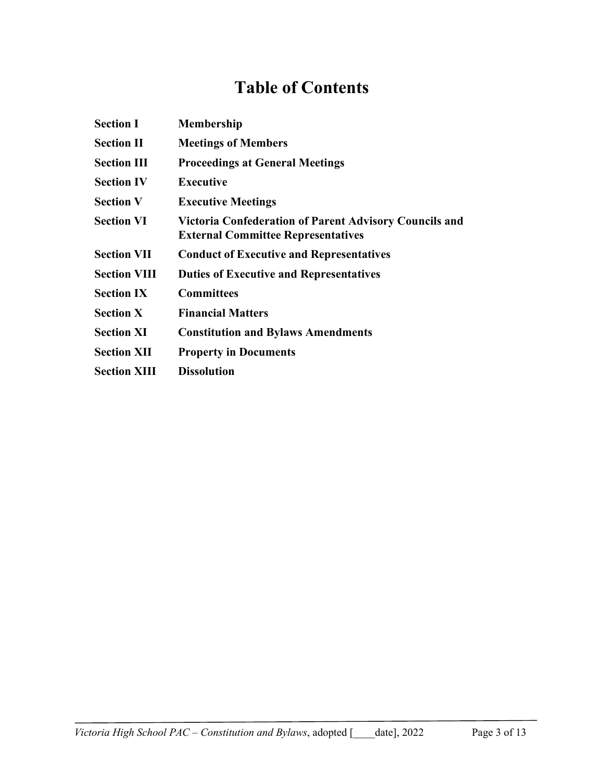# **Table of Contents**

| <b>Section I</b>    | <b>Membership</b>                                                                                          |
|---------------------|------------------------------------------------------------------------------------------------------------|
| <b>Section II</b>   | <b>Meetings of Members</b>                                                                                 |
| <b>Section III</b>  | <b>Proceedings at General Meetings</b>                                                                     |
| <b>Section IV</b>   | <b>Executive</b>                                                                                           |
| <b>Section V</b>    | <b>Executive Meetings</b>                                                                                  |
| <b>Section VI</b>   | <b>Victoria Confederation of Parent Advisory Councils and</b><br><b>External Committee Representatives</b> |
| <b>Section VII</b>  | <b>Conduct of Executive and Representatives</b>                                                            |
| <b>Section VIII</b> | <b>Duties of Executive and Representatives</b>                                                             |
| <b>Section IX</b>   | <b>Committees</b>                                                                                          |
| <b>Section X</b>    | <b>Financial Matters</b>                                                                                   |
| <b>Section XI</b>   | <b>Constitution and Bylaws Amendments</b>                                                                  |
| <b>Section XII</b>  | <b>Property in Documents</b>                                                                               |
| <b>Section XIII</b> | <b>Dissolution</b>                                                                                         |
|                     |                                                                                                            |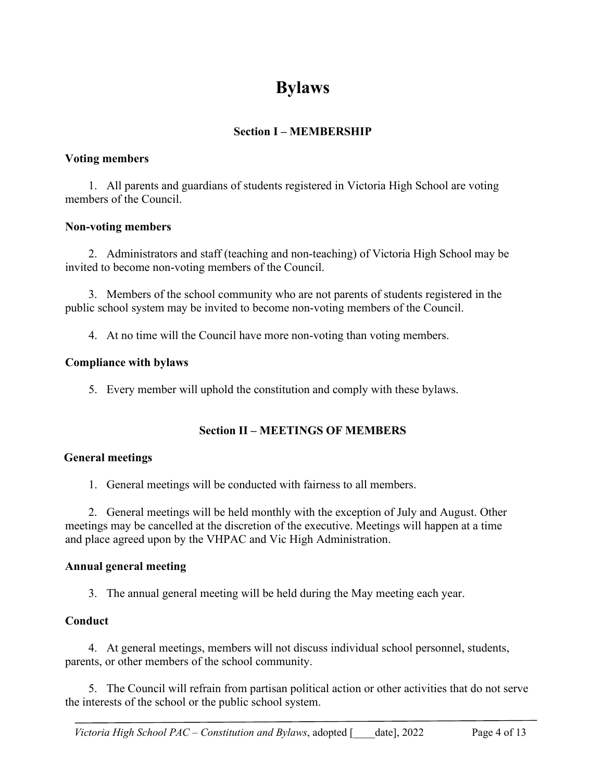# **Bylaws**

# **Section I – MEMBERSHIP**

#### **Voting members**

1. All parents and guardians of students registered in Victoria High School are voting members of the Council.

#### **Non-voting members**

2. Administrators and staff (teaching and non-teaching) of Victoria High School may be invited to become non-voting members of the Council.

3. Members of the school community who are not parents of students registered in the public school system may be invited to become non-voting members of the Council.

4. At no time will the Council have more non-voting than voting members.

#### **Compliance with bylaws**

5. Every member will uphold the constitution and comply with these bylaws.

#### **Section II – MEETINGS OF MEMBERS**

#### **General meetings**

1. General meetings will be conducted with fairness to all members.

2. General meetings will be held monthly with the exception of July and August. Other meetings may be cancelled at the discretion of the executive. Meetings will happen at a time and place agreed upon by the VHPAC and Vic High Administration.

#### **Annual general meeting**

3. The annual general meeting will be held during the May meeting each year.

#### **Conduct**

4. At general meetings, members will not discuss individual school personnel, students, parents, or other members of the school community.

5. The Council will refrain from partisan political action or other activities that do not serve the interests of the school or the public school system.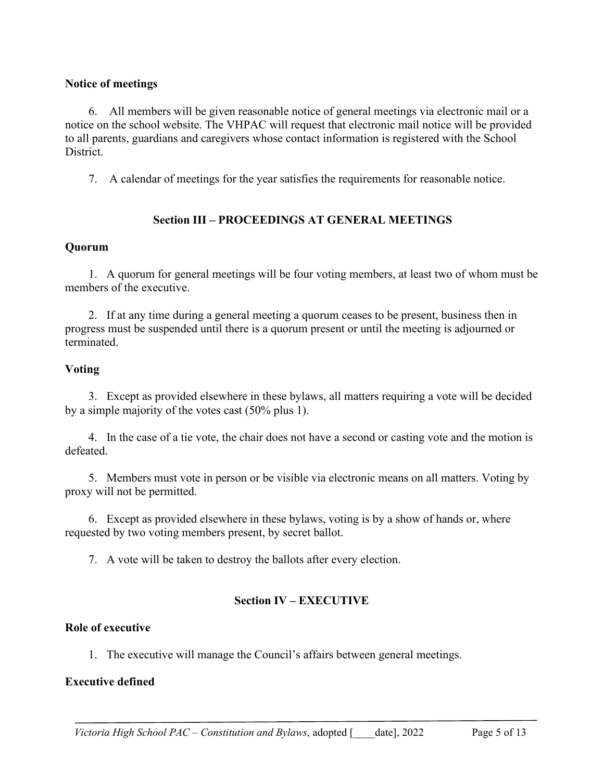#### **Notice of meetings**

6. All members will be given reasonable notice of general meetings via electronic mail or a notice on the school website. The VHPAC will request that electronic mail notice will be provided to all parents, guardians and caregivers whose contact information is registered with the School District.

7. A calendar of meetings for the year satisfies the requirements for reasonable notice.

## **Section III – PROCEEDINGS AT GENERAL MEETINGS**

#### **Quorum**

1. A quorum for general meetings will be four voting members, at least two of whom must be members of the executive.

2. If at any time during a general meeting a quorum ceases to be present, business then in progress must be suspended until there is a quorum present or until the meeting is adjourned or terminated.

#### **Voting**

3. Except as provided elsewhere in these bylaws, all matters requiring a vote will be decided by a simple majority of the votes cast (50% plus 1).

4. In the case of a tie vote, the chair does not have a second or casting vote and the motion is defeated.

5. Members must vote in person or be visible via electronic means on all matters. Voting by proxy will not be permitted.

6. Except as provided elsewhere in these bylaws, voting is by a show of hands or, where requested by two voting members present, by secret ballot.

7. A vote will be taken to destroy the ballots after every election.

#### **Section IV – EXECUTIVE**

#### **Role of executive**

1. The executive will manage the Council's affairs between general meetings.

#### **Executive defined**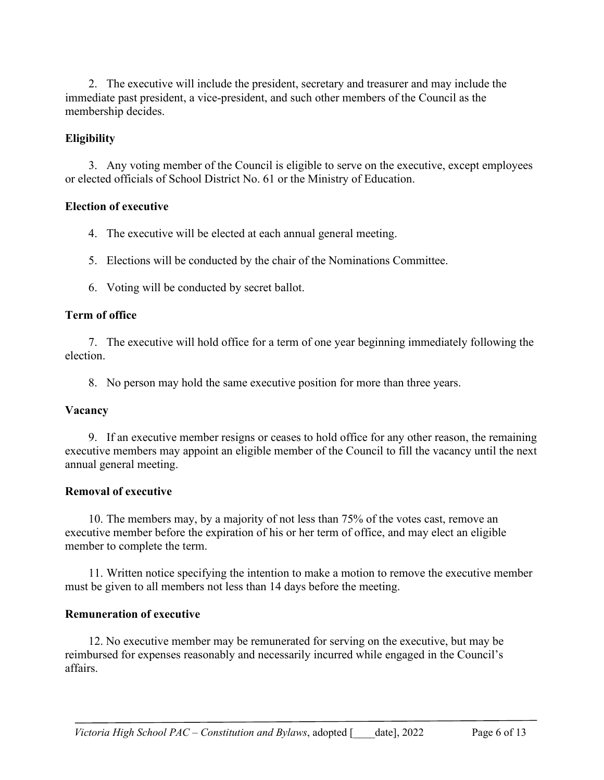2. The executive will include the president, secretary and treasurer and may include the immediate past president, a vice-president, and such other members of the Council as the membership decides.

## **Eligibility**

3. Any voting member of the Council is eligible to serve on the executive, except employees or elected officials of School District No. 61 or the Ministry of Education.

#### **Election of executive**

- 4. The executive will be elected at each annual general meeting.
- 5. Elections will be conducted by the chair of the Nominations Committee.
- 6. Voting will be conducted by secret ballot.

#### **Term of office**

7. The executive will hold office for a term of one year beginning immediately following the election.

8. No person may hold the same executive position for more than three years.

#### **Vacancy**

9. If an executive member resigns or ceases to hold office for any other reason, the remaining executive members may appoint an eligible member of the Council to fill the vacancy until the next annual general meeting.

#### **Removal of executive**

10. The members may, by a majority of not less than 75% of the votes cast, remove an executive member before the expiration of his or her term of office, and may elect an eligible member to complete the term.

11. Written notice specifying the intention to make a motion to remove the executive member must be given to all members not less than 14 days before the meeting.

#### **Remuneration of executive**

12. No executive member may be remunerated for serving on the executive, but may be reimbursed for expenses reasonably and necessarily incurred while engaged in the Council's affairs.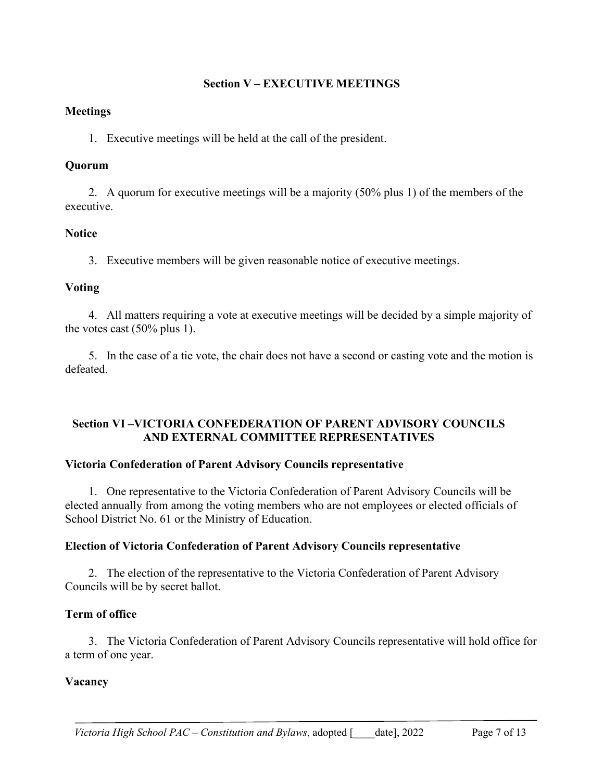## **Section V – EXECUTIVE MEETINGS**

### **Meetings**

1. Executive meetings will be held at the call of the president.

## **Quorum**

2. A quorum for executive meetings will be a majority (50% plus 1) of the members of the executive.

# **Notice**

3. Executive members will be given reasonable notice of executive meetings.

# **Voting**

4. All matters requiring a vote at executive meetings will be decided by a simple majority of the votes cast (50% plus 1).

5. In the case of a tie vote, the chair does not have a second or casting vote and the motion is defeated.

#### **Section VI –VICTORIA CONFEDERATION OF PARENT ADVISORY COUNCILS AND EXTERNAL COMMITTEE REPRESENTATIVES**

# **Victoria Confederation of Parent Advisory Councils representative**

1. One representative to the Victoria Confederation of Parent Advisory Councils will be elected annually from among the voting members who are not employees or elected officials of School District No. 61 or the Ministry of Education.

# **Election of Victoria Confederation of Parent Advisory Councils representative**

2. The election of the representative to the Victoria Confederation of Parent Advisory Councils will be by secret ballot.

# **Term of office**

3. The Victoria Confederation of Parent Advisory Councils representative will hold office for a term of one year.

# **Vacancy**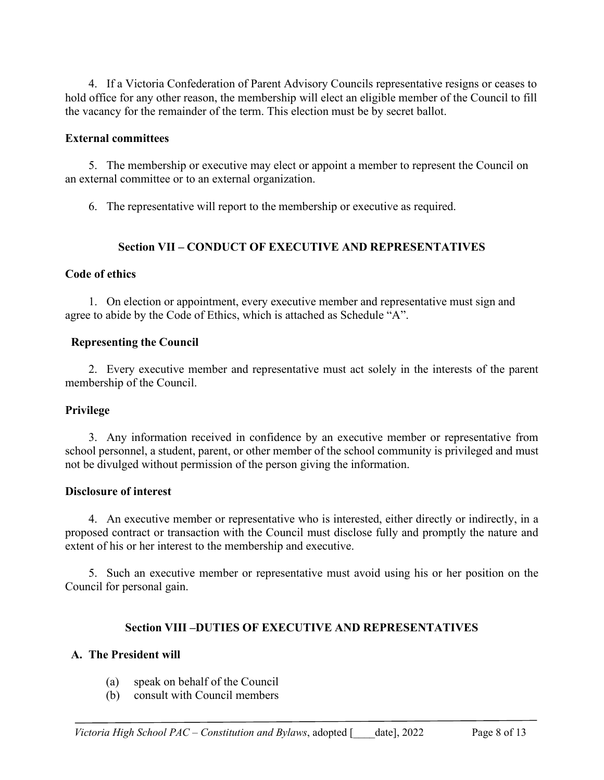4. If a Victoria Confederation of Parent Advisory Councils representative resigns or ceases to hold office for any other reason, the membership will elect an eligible member of the Council to fill the vacancy for the remainder of the term. This election must be by secret ballot.

### **External committees**

5. The membership or executive may elect or appoint a member to represent the Council on an external committee or to an external organization.

6. The representative will report to the membership or executive as required.

# **Section VII – CONDUCT OF EXECUTIVE AND REPRESENTATIVES**

# **Code of ethics**

1. On election or appointment, every executive member and representative must sign and agree to abide by the Code of Ethics, which is attached as Schedule "A".

# **Representing the Council**

2. Every executive member and representative must act solely in the interests of the parent membership of the Council.

# **Privilege**

3. Any information received in confidence by an executive member or representative from school personnel, a student, parent, or other member of the school community is privileged and must not be divulged without permission of the person giving the information.

# **Disclosure of interest**

4. An executive member or representative who is interested, either directly or indirectly, in a proposed contract or transaction with the Council must disclose fully and promptly the nature and extent of his or her interest to the membership and executive.

5. Such an executive member or representative must avoid using his or her position on the Council for personal gain.

# **Section VIII –DUTIES OF EXECUTIVE AND REPRESENTATIVES**

# **A. The President will**

- (a) speak on behalf of the Council
- (b) consult with Council members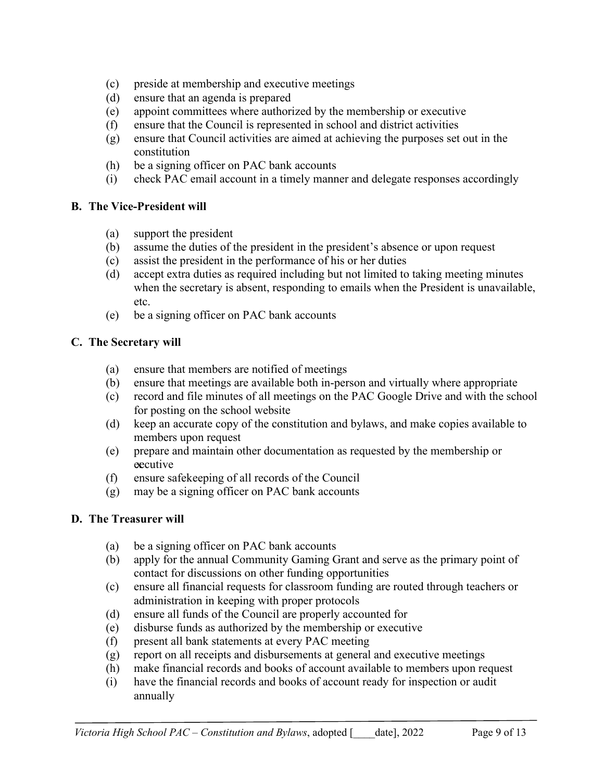- (c) preside at membership and executive meetings
- (d) ensure that an agenda is prepared
- (e) appoint committees where authorized by the membership or executive
- (f) ensure that the Council is represented in school and district activities
- (g) ensure that Council activities are aimed at achieving the purposes set out in the constitution
- (h) be a signing officer on PAC bank accounts
- (i) check PAC email account in a timely manner and delegate responses accordingly

## **B. The Vice-President will**

- (a) support the president
- (b) assume the duties of the president in the president's absence or upon request
- (c) assist the president in the performance of his or her duties
- (d) accept extra duties as required including but not limited to taking meeting minutes when the secretary is absent, responding to emails when the President is unavailable, etc.
- (e) be a signing officer on PAC bank accounts

# **C. The Secretary will**

- (a) ensure that members are notified of meetings
- (b) ensure that meetings are available both in-person and virtually where appropriate
- (c) record and file minutes of all meetings on the PAC Google Drive and with the school for posting on the school website
- (d) keep an accurate copy of the constitution and bylaws, and make copies available to members upon request
- (e) prepare and maintain other documentation as requested by the membership or executive
- (f) ensure safekeeping of all records of the Council
- (g) may be a signing officer on PAC bank accounts

# **D. The Treasurer will**

- (a) be a signing officer on PAC bank accounts
- (b) apply for the annual Community Gaming Grant and serve as the primary point of contact for discussions on other funding opportunities
- (c) ensure all financial requests for classroom funding are routed through teachers or administration in keeping with proper protocols
- (d) ensure all funds of the Council are properly accounted for
- (e) disburse funds as authorized by the membership or executive
- (f) present all bank statements at every PAC meeting
- (g) report on all receipts and disbursements at general and executive meetings
- (h) make financial records and books of account available to members upon request
- (i) have the financial records and books of account ready for inspection or audit annually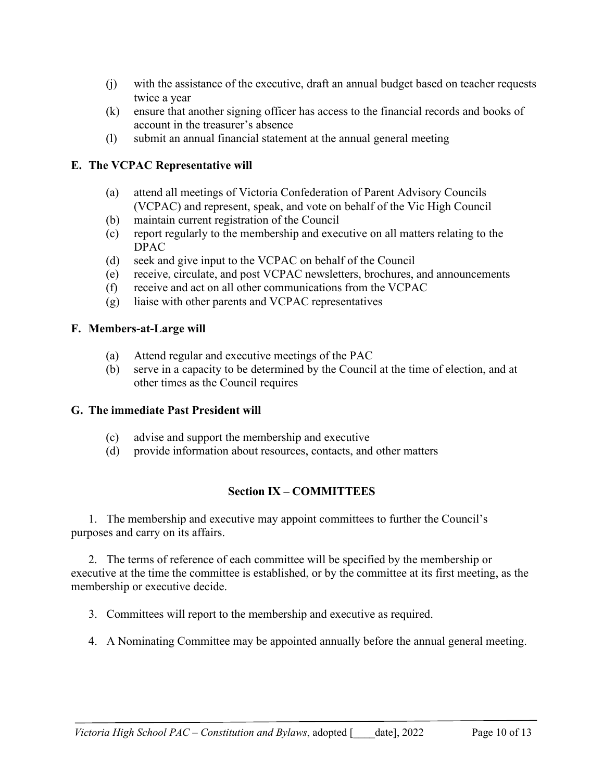- (j) with the assistance of the executive, draft an annual budget based on teacher requests twice a year
- (k) ensure that another signing officer has access to the financial records and books of account in the treasurer's absence
- (l) submit an annual financial statement at the annual general meeting

## **E. The VCPAC Representative will**

- (a) attend all meetings of Victoria Confederation of Parent Advisory Councils (VCPAC) and represent, speak, and vote on behalf of the Vic High Council
- (b) maintain current registration of the Council
- (c) report regularly to the membership and executive on all matters relating to the DPAC
- (d) seek and give input to the VCPAC on behalf of the Council
- (e) receive, circulate, and post VCPAC newsletters, brochures, and announcements
- (f) receive and act on all other communications from the VCPAC
- (g) liaise with other parents and VCPAC representatives

## **F. Members-at-Large will**

- (a) Attend regular and executive meetings of the PAC
- (b) serve in a capacity to be determined by the Council at the time of election, and at other times as the Council requires

# **G. The immediate Past President will**

- (c) advise and support the membership and executive
- (d) provide information about resources, contacts, and other matters

#### **Section IX – COMMITTEES**

1. The membership and executive may appoint committees to further the Council's purposes and carry on its affairs.

2. The terms of reference of each committee will be specified by the membership or executive at the time the committee is established, or by the committee at its first meeting, as the membership or executive decide.

3. Committees will report to the membership and executive as required.

4. A Nominating Committee may be appointed annually before the annual general meeting.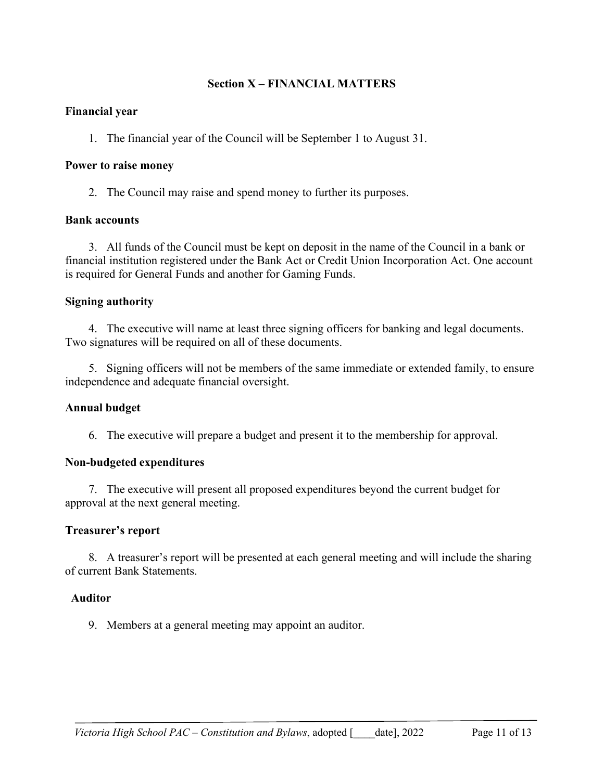### **Section X – FINANCIAL MATTERS**

#### **Financial year**

1. The financial year of the Council will be September 1 to August 31.

#### **Power to raise money**

2. The Council may raise and spend money to further its purposes.

#### **Bank accounts**

3. All funds of the Council must be kept on deposit in the name of the Council in a bank or financial institution registered under the Bank Act or Credit Union Incorporation Act. One account is required for General Funds and another for Gaming Funds.

#### **Signing authority**

4. The executive will name at least three signing officers for banking and legal documents. Two signatures will be required on all of these documents.

5. Signing officers will not be members of the same immediate or extended family, to ensure independence and adequate financial oversight.

#### **Annual budget**

6. The executive will prepare a budget and present it to the membership for approval.

#### **Non-budgeted expenditures**

7. The executive will present all proposed expenditures beyond the current budget for approval at the next general meeting.

#### **Treasurer's report**

8. A treasurer's report will be presented at each general meeting and will include the sharing of current Bank Statements.

#### **Auditor**

9. Members at a general meeting may appoint an auditor.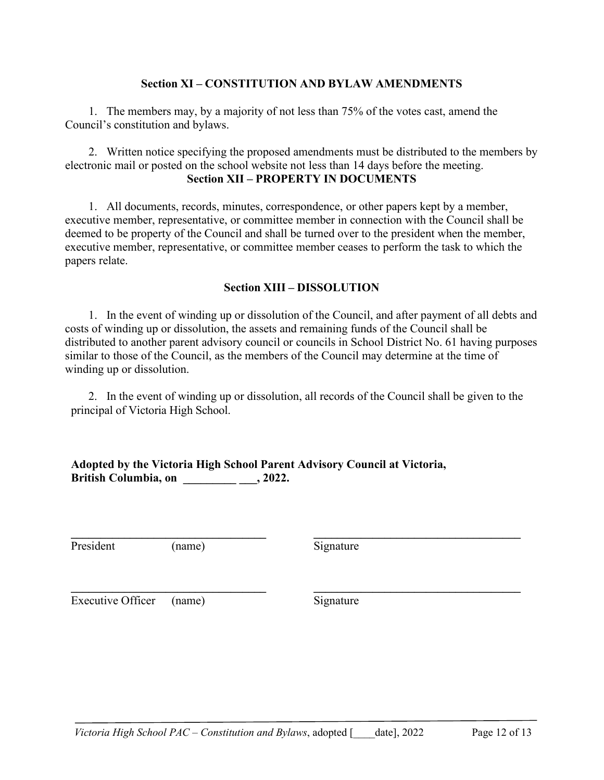#### **Section XI – CONSTITUTION AND BYLAW AMENDMENTS**

1. The members may, by a majority of not less than 75% of the votes cast, amend the Council's constitution and bylaws.

2. Written notice specifying the proposed amendments must be distributed to the members by electronic mail or posted on the school website not less than 14 days before the meeting. **Section XII – PROPERTY IN DOCUMENTS**

1. All documents, records, minutes, correspondence, or other papers kept by a member, executive member, representative, or committee member in connection with the Council shall be deemed to be property of the Council and shall be turned over to the president when the member, executive member, representative, or committee member ceases to perform the task to which the papers relate.

#### **Section XIII – DISSOLUTION**

1. In the event of winding up or dissolution of the Council, and after payment of all debts and costs of winding up or dissolution, the assets and remaining funds of the Council shall be distributed to another parent advisory council or councils in School District No. 61 having purposes similar to those of the Council, as the members of the Council may determine at the time of winding up or dissolution.

2. In the event of winding up or dissolution, all records of the Council shall be given to the principal of Victoria High School.

**\_\_\_\_\_\_\_\_\_\_\_\_\_\_\_\_\_\_\_\_\_\_\_\_\_\_\_\_\_\_\_\_\_ \_\_\_\_\_\_\_\_\_\_\_\_\_\_\_\_\_\_\_\_\_\_\_\_\_\_\_\_\_\_\_\_\_\_\_**

**Adopted by the Victoria High School Parent Advisory Council at Victoria, British Columbia, on \_\_\_\_\_\_\_\_\_ \_\_\_, 2022.**

President (name) Signature

**\_\_\_\_\_\_\_\_\_\_\_\_\_\_\_\_\_\_\_\_\_\_\_\_\_\_\_\_\_\_\_\_\_ \_\_\_\_\_\_\_\_\_\_\_\_\_\_\_\_\_\_\_\_\_\_\_\_\_\_\_\_\_\_\_\_\_\_\_**

Executive Officer (name) Signature